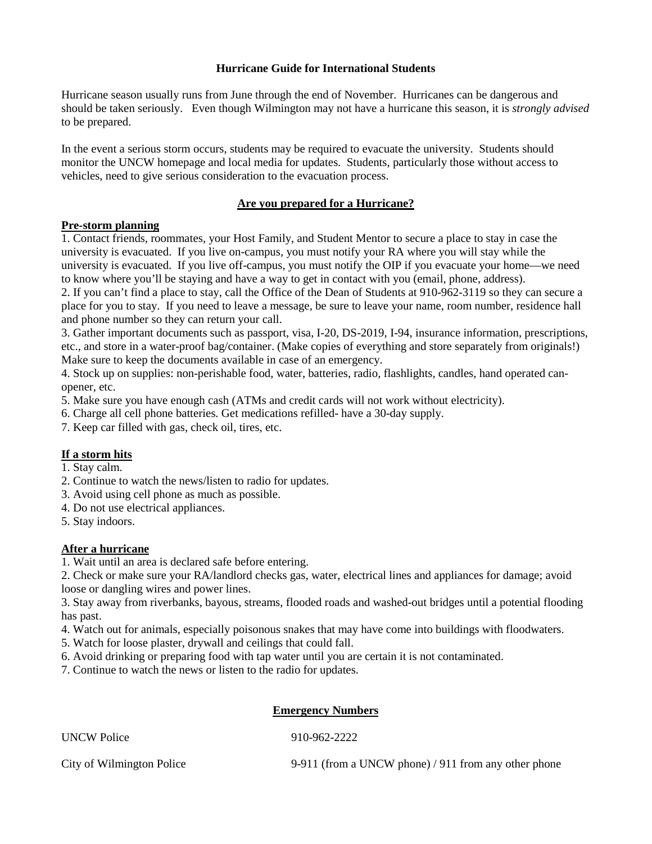#### **Hurricane Guide for International Students**

Hurricane season usually runs from June through the end of November. Hurricanes can be dangerous and should be taken seriously. Even though Wilmington may not have a hurricane this season, it is *strongly advised*  to be prepared.

In the event a serious storm occurs, students may be required to evacuate the university. Students should monitor the UNCW homepage and local media for updates. Students, particularly those without access to vehicles, need to give serious consideration to the evacuation process.

# **Are you prepared for a Hurricane?**

### **Pre-storm planning**

1. Contact friends, roommates, your Host Family, and Student Mentor to secure a place to stay in case the university is evacuated. If you live on-campus, you must notify your RA where you will stay while the university is evacuated. If you live off-campus, you must notify the OIP if you evacuate your home—we need to know where you'll be staying and have a way to get in contact with you (email, phone, address).

2. If you can't find a place to stay, call the Office of the Dean of Students at 910-962-3119 so they can secure a place for you to stay. If you need to leave a message, be sure to leave your name, room number, residence hall and phone number so they can return your call.

3. Gather important documents such as passport, visa, I-20, DS-2019, I-94, insurance information, prescriptions, etc., and store in a water-proof bag/container. (Make copies of everything and store separately from originals!) Make sure to keep the documents available in case of an emergency.

4. Stock up on supplies: non-perishable food, water, batteries, radio, flashlights, candles, hand operated canopener, etc.

5. Make sure you have enough cash (ATMs and credit cards will not work without electricity).

6. Charge all cell phone batteries. Get medications refilled- have a 30-day supply.

7. Keep car filled with gas, check oil, tires, etc.

# **If a storm hits**

1. Stay calm.

2. Continue to watch the news/listen to radio for updates.

3. Avoid using cell phone as much as possible.

- 4. Do not use electrical appliances.
- 5. Stay indoors.

# **After a hurricane**

1. Wait until an area is declared safe before entering.

2. Check or make sure your RA/landlord checks gas, water, electrical lines and appliances for damage; avoid loose or dangling wires and power lines.

3. Stay away from riverbanks, bayous, streams, flooded roads and washed-out bridges until a potential flooding has past.

4. Watch out for animals, especially poisonous snakes that may have come into buildings with floodwaters.

5. Watch for loose plaster, drywall and ceilings that could fall.

6. Avoid drinking or preparing food with tap water until you are certain it is not contaminated.

7. Continue to watch the news or listen to the radio for updates.

#### **Emergency Numbers**

| <b>UNCW Police</b>        | 910-962-2222                                         |
|---------------------------|------------------------------------------------------|
| City of Wilmington Police | 9-911 (from a UNCW phone) / 911 from any other phone |